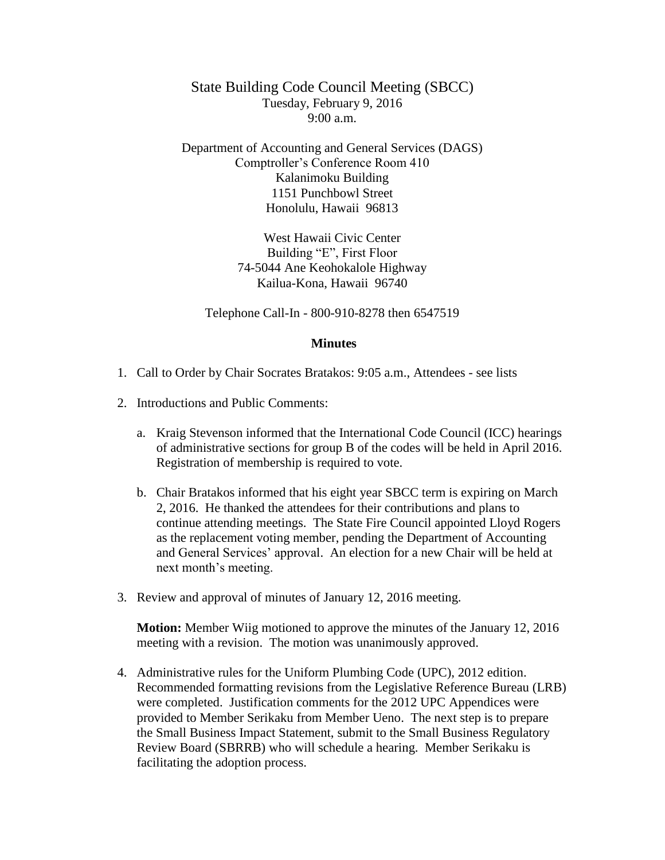State Building Code Council Meeting (SBCC) Tuesday, February 9, 2016  $9:00 a.m.$ 

Department of Accounting and General Services (DAGS) Comptroller's Conference Room 410 Kalanimoku Building 1151 Punchbowl Street Honolulu, Hawaii 96813

> West Hawaii Civic Center Building "E", First Floor 74-5044 Ane Keohokalole Highway Kailua-Kona, Hawaii 96740

Telephone Call-In - 800-910-8278 then 6547519

## **Minutes**

- 1. Call to Order by Chair Socrates Bratakos: 9:05 a.m., Attendees see lists
- 2. Introductions and Public Comments:
	- a. Kraig Stevenson informed that the International Code Council (ICC) hearings of administrative sections for group B of the codes will be held in April 2016. Registration of membership is required to vote.
	- b. Chair Bratakos informed that his eight year SBCC term is expiring on March 2, 2016. He thanked the attendees for their contributions and plans to continue attending meetings. The State Fire Council appointed Lloyd Rogers as the replacement voting member, pending the Department of Accounting and General Services' approval. An election for a new Chair will be held at next month's meeting.
- 3. Review and approval of minutes of January 12, 2016 meeting.

**Motion:** Member Wiig motioned to approve the minutes of the January 12, 2016 meeting with a revision. The motion was unanimously approved.

4. Administrative rules for the Uniform Plumbing Code (UPC), 2012 edition. Recommended formatting revisions from the Legislative Reference Bureau (LRB) were completed. Justification comments for the 2012 UPC Appendices were provided to Member Serikaku from Member Ueno. The next step is to prepare the Small Business Impact Statement, submit to the Small Business Regulatory Review Board (SBRRB) who will schedule a hearing. Member Serikaku is facilitating the adoption process.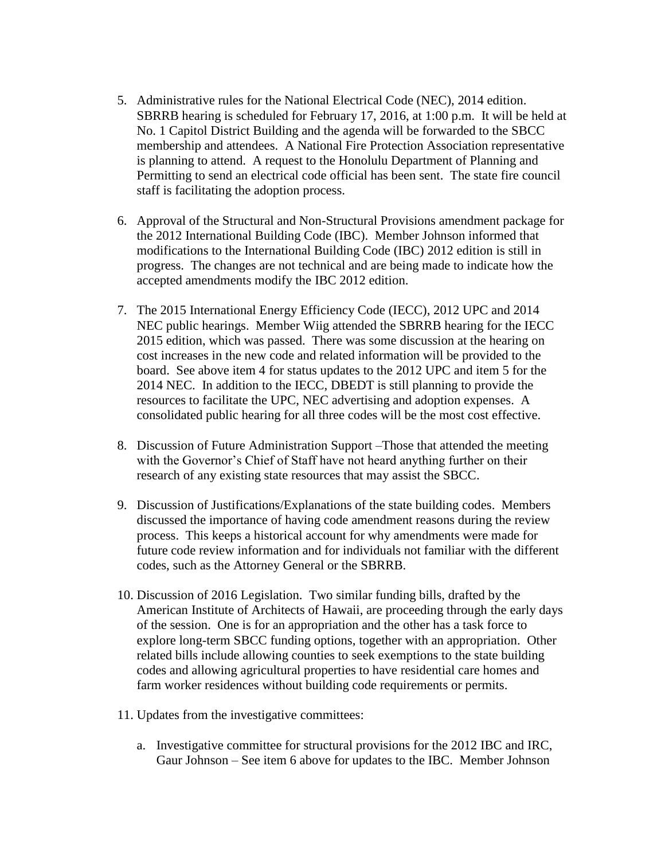- 5. Administrative rules for the National Electrical Code (NEC), 2014 edition. SBRRB hearing is scheduled for February 17, 2016, at 1:00 p.m. It will be held at No. 1 Capitol District Building and the agenda will be forwarded to the SBCC membership and attendees. A National Fire Protection Association representative is planning to attend. A request to the Honolulu Department of Planning and Permitting to send an electrical code official has been sent. The state fire council staff is facilitating the adoption process.
- 6. Approval of the Structural and Non-Structural Provisions amendment package for the 2012 International Building Code (IBC). Member Johnson informed that modifications to the International Building Code (IBC) 2012 edition is still in progress. The changes are not technical and are being made to indicate how the accepted amendments modify the IBC 2012 edition.
- 7. The 2015 International Energy Efficiency Code (IECC), 2012 UPC and 2014 NEC public hearings. Member Wiig attended the SBRRB hearing for the IECC 2015 edition, which was passed. There was some discussion at the hearing on cost increases in the new code and related information will be provided to the board. See above item 4 for status updates to the 2012 UPC and item 5 for the 2014 NEC. In addition to the IECC, DBEDT is still planning to provide the resources to facilitate the UPC, NEC advertising and adoption expenses. A consolidated public hearing for all three codes will be the most cost effective.
- 8. Discussion of Future Administration Support –Those that attended the meeting with the Governor's Chief of Staff have not heard anything further on their research of any existing state resources that may assist the SBCC.
- 9. Discussion of Justifications/Explanations of the state building codes. Members discussed the importance of having code amendment reasons during the review process. This keeps a historical account for why amendments were made for future code review information and for individuals not familiar with the different codes, such as the Attorney General or the SBRRB.
- 10. Discussion of 2016 Legislation. Two similar funding bills, drafted by the American Institute of Architects of Hawaii, are proceeding through the early days of the session. One is for an appropriation and the other has a task force to explore long-term SBCC funding options, together with an appropriation. Other related bills include allowing counties to seek exemptions to the state building codes and allowing agricultural properties to have residential care homes and farm worker residences without building code requirements or permits.
- 11. Updates from the investigative committees:
	- a. Investigative committee for structural provisions for the 2012 IBC and IRC, Gaur Johnson – See item 6 above for updates to the IBC. Member Johnson